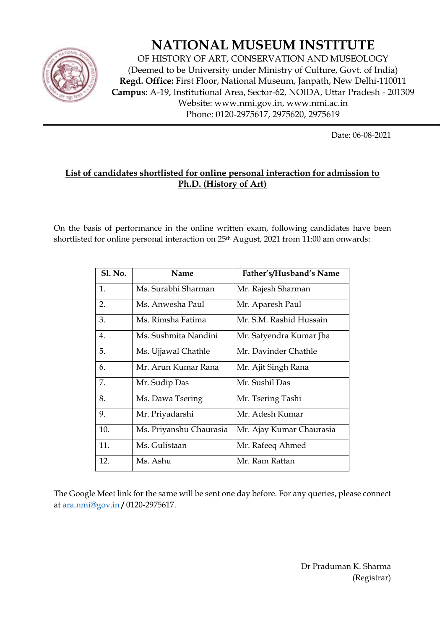

## **NATIONAL MUSEUM INSTITUTE**

OF HISTORY OF ART, CONSERVATION AND MUSEOLOGY (Deemed to be University under Ministry of Culture, Govt. of India) **Regd. Office:** First Floor, National Museum, Janpath, New Delhi-110011 **Campus:** A-19, Institutional Area, Sector-62, NOIDA, Uttar Pradesh - 201309 Website: www.nmi.gov.in, www.nmi.ac.in Phone: 0120-2975617, 2975620, 2975619

Date: 06-08-2021

## **List of candidates shortlisted for online personal interaction for admission to Ph.D. (History of Art)**

On the basis of performance in the online written exam, following candidates have been shortlisted for online personal interaction on 25<sup>th</sup> August, 2021 from 11:00 am onwards:

| <b>Sl. No.</b> | Name                    | Father's/Husband's Name  |
|----------------|-------------------------|--------------------------|
| 1.             | Ms. Surabhi Sharman     | Mr. Rajesh Sharman       |
| 2.             | Ms. Anwesha Paul        | Mr. Aparesh Paul         |
| 3.             | Ms. Rimsha Fatima       | Mr. S.M. Rashid Hussain  |
| 4.             | Ms. Sushmita Nandini    | Mr. Satyendra Kumar Jha  |
| 5.             | Ms. Ujjawal Chathle     | Mr. Davinder Chathle     |
| 6.             | Mr. Arun Kumar Rana     | Mr. Ajit Singh Rana      |
| 7.             | Mr. Sudip Das           | Mr. Sushil Das           |
| 8.             | Ms. Dawa Tsering        | Mr. Tsering Tashi        |
| 9.             | Mr. Priyadarshi         | Mr. Adesh Kumar          |
| 10.            | Ms. Priyanshu Chaurasia | Mr. Ajay Kumar Chaurasia |
| 11.            | Ms. Gulistaan           | Mr. Rafeeq Ahmed         |
| 12.            | Ms. Ashu                | Mr. Ram Rattan           |

The Google Meet link for the same will be sent one day before. For any queries, please connect at ara.nmi@gov.in **/** 0120-2975617.